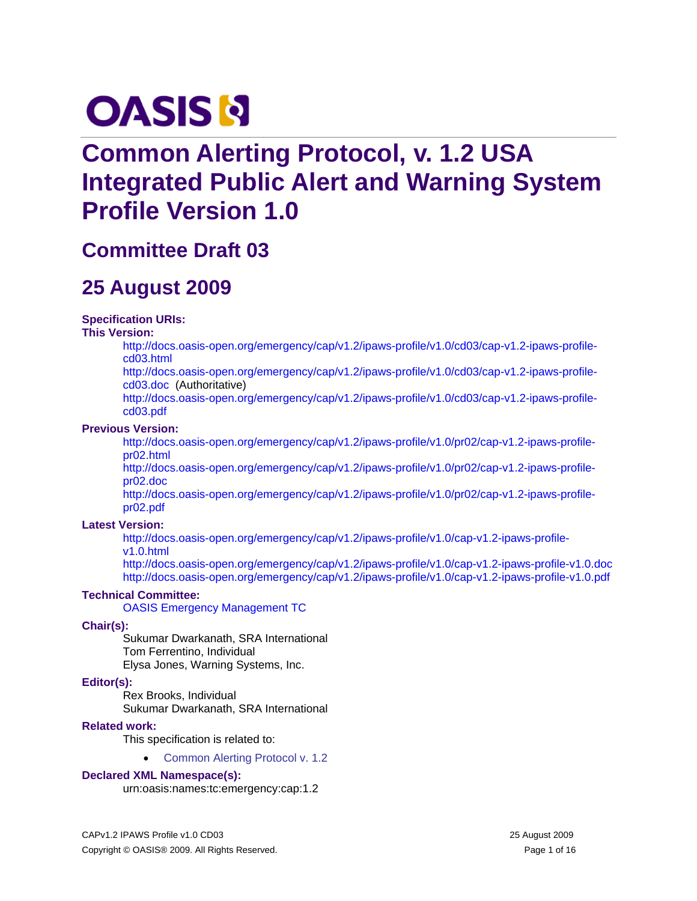# **OASIS N**

# **Common Alerting Protocol, v. 1.2 USA Integrated Public Alert and Warning System Profile Version 1.0**

# **Committee Draft 03**

# **25 August 2009**

### **Specification URIs:**

#### **This Version:**

[http://docs.oasis-open.org/emergency/cap/v1.2/ipaws-profile/v1.0/cd03/cap-v1.2-ipaws-profile](http://docs.oasis-open.org/emergency/cap/v1.2/ipaws-profile/v1.0/pr02/cap-v1.2-ipaws-profile-pr02.html)[cd03.html](http://docs.oasis-open.org/emergency/cap/v1.2/ipaws-profile/v1.0/pr02/cap-v1.2-ipaws-profile-pr02.html)

[http://docs.oasis-open.org/emergency/cap/v1.2/ipaws-profile/v1.0/cd03/cap-v1.2-ipaws-profile](http://docs.oasis-open.org/emergency/cap/v1.2/ipaws-profile/v1.0/pr02/cap-v1.2-ipaws-profile-pr02.doc)[cd03.doc](http://docs.oasis-open.org/emergency/cap/v1.2/ipaws-profile/v1.0/pr02/cap-v1.2-ipaws-profile-pr02.doc) (Authoritative)

[http://docs.oasis-open.org/emergency/cap/v1.2/ipaws-profile/v1.0/cd03/cap-v1.2-ipaws-profile](http://docs.oasis-open.org/emergency/cap/v1.2/ipaws-profile/v1.0/pr02/cap-v1.2-ipaws-profile-pr02.pdf)[cd03.pdf](http://docs.oasis-open.org/emergency/cap/v1.2/ipaws-profile/v1.0/pr02/cap-v1.2-ipaws-profile-pr02.pdf)

#### **Previous Version:**

[http://docs.oasis-open.org/emergency/cap/v1.2/ipaws-profile/v1.0/pr02/cap-v1.2-ipaws-profile](http://docs.oasis-open.org/emergency/cap/v1.2/ipaws-profile/v1.0/pr02/cap-v1.2-ipaws-profile-pr02.html)[pr02.html](http://docs.oasis-open.org/emergency/cap/v1.2/ipaws-profile/v1.0/pr02/cap-v1.2-ipaws-profile-pr02.html)

[http://docs.oasis-open.org/emergency/cap/v1.2/ipaws-profile/v1.0/pr02/cap-v1.2-ipaws-profile](http://docs.oasis-open.org/emergency/cap/v1.2/ipaws-profile/v1.0/pr02/cap-v1.2-ipaws-profile-pr02.doc)[pr02.doc](http://docs.oasis-open.org/emergency/cap/v1.2/ipaws-profile/v1.0/pr02/cap-v1.2-ipaws-profile-pr02.doc) 

[http://docs.oasis-open.org/emergency/cap/v1.2/ipaws-profile/v1.0/pr02/cap-v1.2-ipaws-profile](http://docs.oasis-open.org/emergency/cap/v1.2/ipaws-profile/v1.0/pr02/cap-v1.2-ipaws-profile-pr02.pdf)[pr02.pdf](http://docs.oasis-open.org/emergency/cap/v1.2/ipaws-profile/v1.0/pr02/cap-v1.2-ipaws-profile-pr02.pdf)

### **Latest Version:**

[http://docs.oasis-open.org/emergency/cap/v1.2/ipaws-profile/v1.0/cap-v1.2-ipaws-profile](http://docs.oasis-open.org/emergency/cap/v1.2/ipaws-profile/v1.0/cap-v1.2-ipaws-profile-v1.0.html)[v1.0.html](http://docs.oasis-open.org/emergency/cap/v1.2/ipaws-profile/v1.0/cap-v1.2-ipaws-profile-v1.0.html) 

<http://docs.oasis-open.org/emergency/cap/v1.2/ipaws-profile/v1.0/cap-v1.2-ipaws-profile-v1.0.doc> <http://docs.oasis-open.org/emergency/cap/v1.2/ipaws-profile/v1.0/cap-v1.2-ipaws-profile-v1.0.pdf>

### **Technical Committee:**

[OASIS Emergency Management TC](http://www.oasis-open.org/committees/emergency/)

### **Chair(s):**

Sukumar Dwarkanath, SRA International Tom Ferrentino, Individual Elysa Jones, Warning Systems, Inc.

### **Editor(s):**

Rex Brooks, Individual Sukumar Dwarkanath, SRA International

### **Related work:**

This specification is related to:

• Common Alerting Protocol v. 1.2

### **Declared XML Namespace(s):**

urn:oasis:names:tc:emergency:cap:1.2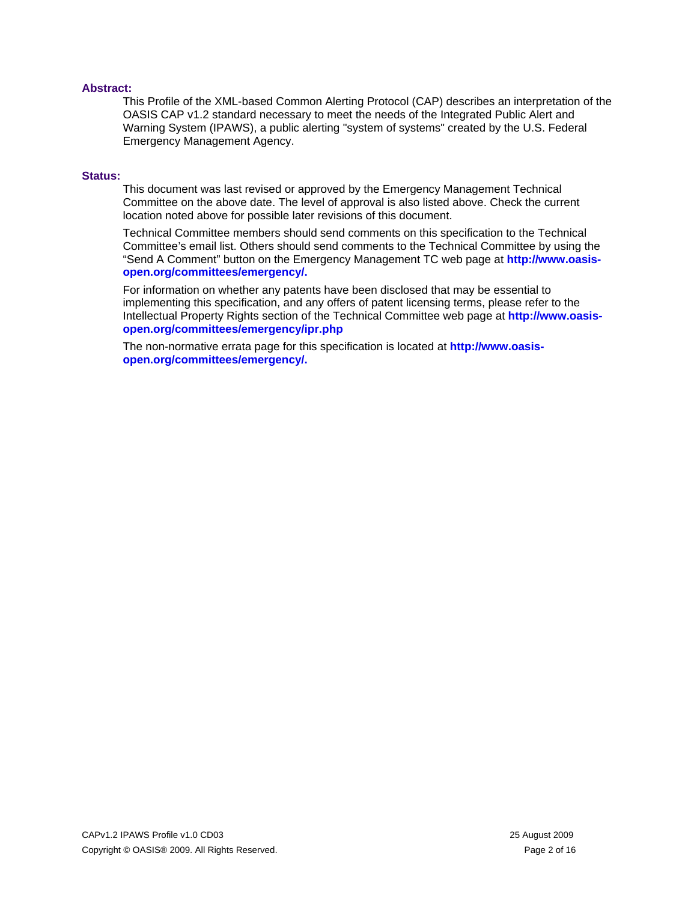#### **Abstract:**

This Profile of the XML-based Common Alerting Protocol (CAP) describes an interpretation of the OASIS CAP v1.2 standard necessary to meet the needs of the Integrated Public Alert and Warning System (IPAWS), a public alerting "system of systems" created by the U.S. Federal Emergency Management Agency.

#### **Status:**

This document was last revised or approved by the Emergency Management Technical Committee on the above date. The level of approval is also listed above. Check the current location noted above for possible later revisions of this document.

Technical Committee members should send comments on this specification to the Technical Committee's email list. Others should send comments to the Technical Committee by using the "Send A Comment" button on the Emergency Management TC web page at **[http://www.oasis](http://www.oasis-open.org/committees/emergency/)[open.org/committees/emergency/.](http://www.oasis-open.org/committees/emergency/)**

For information on whether any patents have been disclosed that may be essential to implementing this specification, and any offers of patent licensing terms, please refer to the Intellectual Property Rights section of the Technical Committee web page at **[http://www.oasis](http://www.oasis-open.org/committees/emergency/ipr.php)[open.org/committees/emergency/ipr.php](http://www.oasis-open.org/committees/emergency/ipr.php)**

The non-normative errata page for this specification is located at **[http://www.oasis](http://www.oasis-open.org/committees/emergency/)[open.org/committees/emergency/.](http://www.oasis-open.org/committees/emergency/)**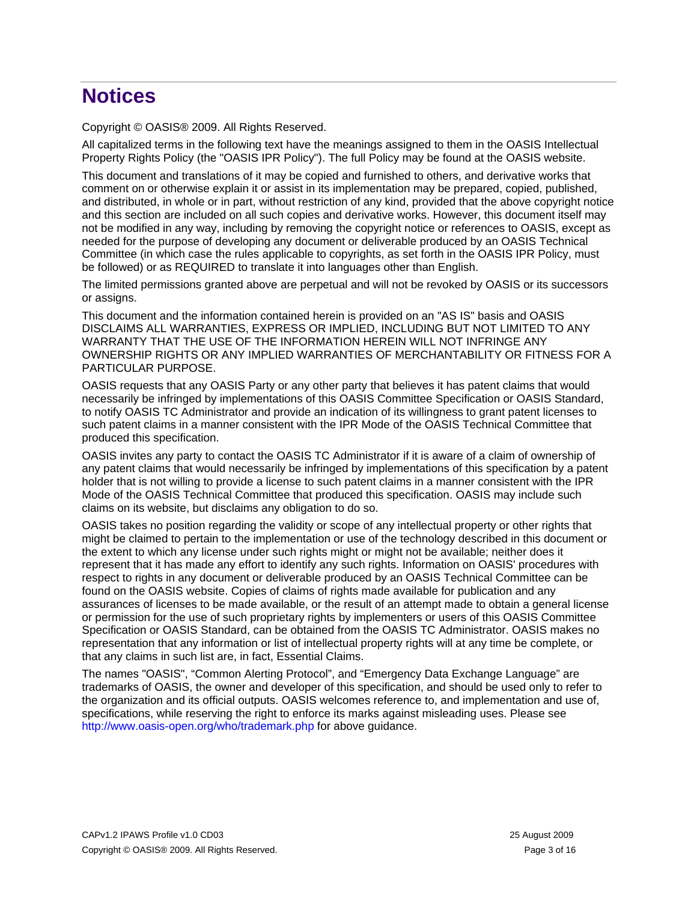# **Notices**

Copyright © OASIS® 2009. All Rights Reserved.

All capitalized terms in the following text have the meanings assigned to them in the OASIS Intellectual Property Rights Policy (the "OASIS IPR Policy"). The full Policy may be found at the OASIS website.

This document and translations of it may be copied and furnished to others, and derivative works that comment on or otherwise explain it or assist in its implementation may be prepared, copied, published, and distributed, in whole or in part, without restriction of any kind, provided that the above copyright notice and this section are included on all such copies and derivative works. However, this document itself may not be modified in any way, including by removing the copyright notice or references to OASIS, except as needed for the purpose of developing any document or deliverable produced by an OASIS Technical Committee (in which case the rules applicable to copyrights, as set forth in the OASIS IPR Policy, must be followed) or as REQUIRED to translate it into languages other than English.

The limited permissions granted above are perpetual and will not be revoked by OASIS or its successors or assigns.

This document and the information contained herein is provided on an "AS IS" basis and OASIS DISCLAIMS ALL WARRANTIES, EXPRESS OR IMPLIED, INCLUDING BUT NOT LIMITED TO ANY WARRANTY THAT THE USE OF THE INFORMATION HEREIN WILL NOT INFRINGE ANY OWNERSHIP RIGHTS OR ANY IMPLIED WARRANTIES OF MERCHANTABILITY OR FITNESS FOR A PARTICULAR PURPOSE.

OASIS requests that any OASIS Party or any other party that believes it has patent claims that would necessarily be infringed by implementations of this OASIS Committee Specification or OASIS Standard, to notify OASIS TC Administrator and provide an indication of its willingness to grant patent licenses to such patent claims in a manner consistent with the IPR Mode of the OASIS Technical Committee that produced this specification.

OASIS invites any party to contact the OASIS TC Administrator if it is aware of a claim of ownership of any patent claims that would necessarily be infringed by implementations of this specification by a patent holder that is not willing to provide a license to such patent claims in a manner consistent with the IPR Mode of the OASIS Technical Committee that produced this specification. OASIS may include such claims on its website, but disclaims any obligation to do so.

OASIS takes no position regarding the validity or scope of any intellectual property or other rights that might be claimed to pertain to the implementation or use of the technology described in this document or the extent to which any license under such rights might or might not be available; neither does it represent that it has made any effort to identify any such rights. Information on OASIS' procedures with respect to rights in any document or deliverable produced by an OASIS Technical Committee can be found on the OASIS website. Copies of claims of rights made available for publication and any assurances of licenses to be made available, or the result of an attempt made to obtain a general license or permission for the use of such proprietary rights by implementers or users of this OASIS Committee Specification or OASIS Standard, can be obtained from the OASIS TC Administrator. OASIS makes no representation that any information or list of intellectual property rights will at any time be complete, or that any claims in such list are, in fact, Essential Claims.

The names "OASIS", "Common Alerting Protocol", and "Emergency Data Exchange Language" are trademarks of OASIS, the owner and developer of this specification, and should be used only to refer to the organization and its official outputs. OASIS welcomes reference to, and implementation and use of, specifications, while reserving the right to enforce its marks against misleading uses. Please see <http://www.oasis-open.org/who/trademark.php> for above guidance.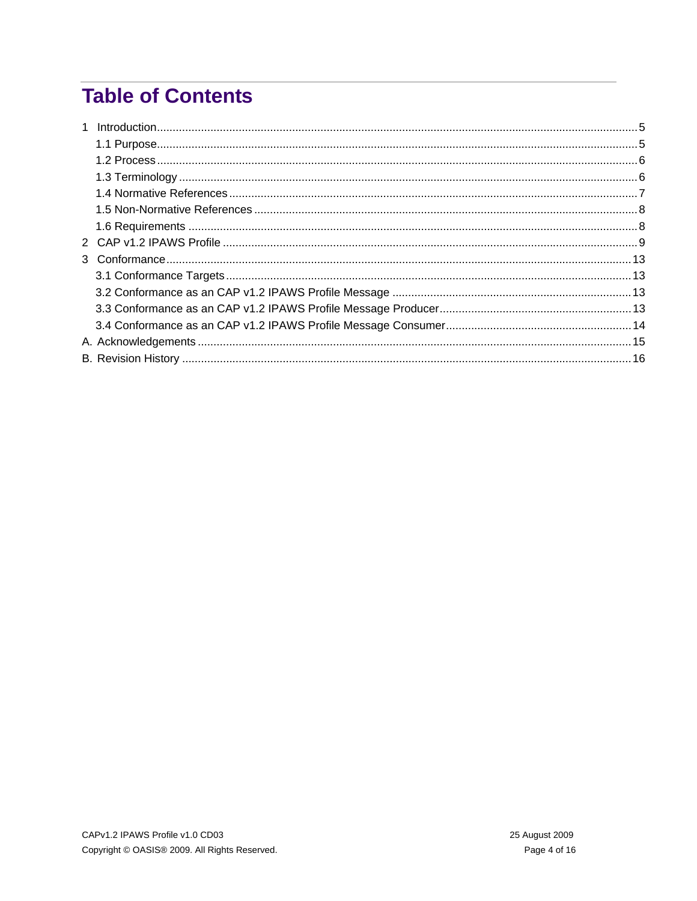# **Table of Contents**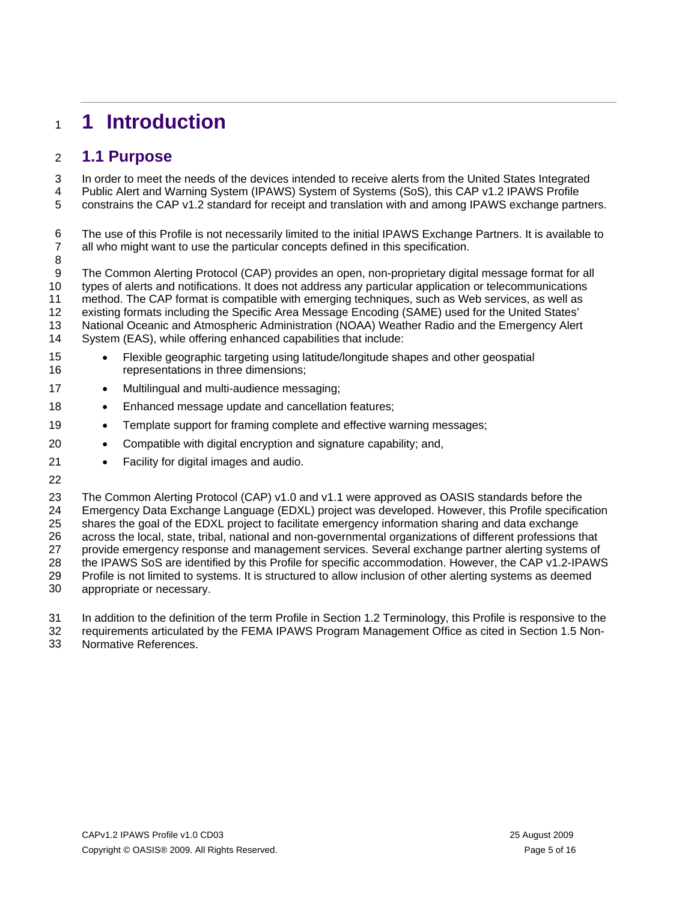# <span id="page-4-0"></span><sup>1</sup>**1 Introduction**

### 2 **1.1 Purpose**

In order to meet the needs of the devices intended to receive alerts from the United States Integrated 3

Public Alert and Warning System (IPAWS) System of Systems (SoS), this CAP v1.2 IPAWS Profile 4

constrains the CAP v1.2 standard for receipt and translation with and among IPAWS exchange partners. 5

6 7 The use of this Profile is not necessarily limited to the initial IPAWS Exchange Partners. It is available to all who might want to use the particular concepts defined in this specification.

8

9 10 The Common Alerting Protocol (CAP) provides an open, non-proprietary digital message format for all types of alerts and notifications. It does not address any particular application or telecommunications

11 method. The CAP format is compatible with emerging techniques, such as Web services, as well as

12 existing formats including the Specific Area Message Encoding (SAME) used for the United States'

13 National Oceanic and Atmospheric Administration (NOAA) Weather Radio and the Emergency Alert

14 System (EAS), while offering enhanced capabilities that include:

- 15 16 • Flexible geographic targeting using latitude/longitude shapes and other geospatial representations in three dimensions;
- 17 • Multilingual and multi-audience messaging;
- 18 • Enhanced message update and cancellation features;
- 19 • Template support for framing complete and effective warning messages;
- 20 • Compatible with digital encryption and signature capability; and,
- 21 • Facility for digital images and audio.
- 22

23 24 25 26 27 28 29 30 The Common Alerting Protocol (CAP) v1.0 and v1.1 were approved as OASIS standards before the Emergency Data Exchange Language (EDXL) project was developed. However, this Profile specification shares the goal of the EDXL project to facilitate emergency information sharing and data exchange across the local, state, tribal, national and non-governmental organizations of different professions that provide emergency response and management services. Several exchange partner alerting systems of the IPAWS SoS are identified by this Profile for specific accommodation. However, the CAP v1.2-IPAWS Profile is not limited to systems. It is structured to allow inclusion of other alerting systems as deemed appropriate or necessary.

31 In addition to the definition of the term Profile in Section 1.2 Terminology, this Profile is responsive to the

32 requirements articulated by the FEMA IPAWS Program Management Office as cited in Section 1.5 Non-

33 Normative References.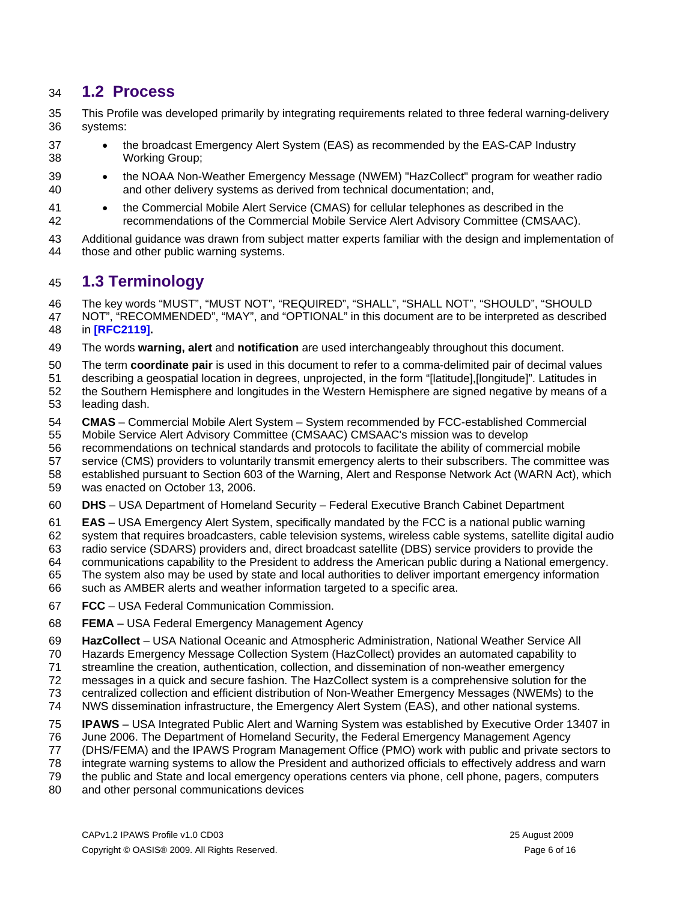### <span id="page-5-0"></span>34 **1.2 Process**

35 36 This Profile was developed primarily by integrating requirements related to three federal warning-delivery systems:

- 37 38 • the broadcast Emergency Alert System (EAS) as recommended by the EAS-CAP Industry Working Group;
- 39 40 • the NOAA Non-Weather Emergency Message (NWEM) "HazCollect" program for weather radio and other delivery systems as derived from technical documentation; and,
- 41 42 • the Commercial Mobile Alert Service (CMAS) for cellular telephones as described in the recommendations of the Commercial Mobile Service Alert Advisory Committee (CMSAAC).
- 43 44 Additional guidance was drawn from subject matter experts familiar with the design and implementation of those and other public warning systems.

### 45 **1.3 Terminology**

46 47 The key words "MUST", "MUST NOT", "REQUIRED", "SHALL", "SHALL NOT", "SHOULD", "SHOULD NOT", "RECOMMENDED", "MAY", and "OPTIONAL" in this document are to be interpreted as described

48 in **[\[RFC2119\].](#page-11-0)** 

49 The words **warning, alert** and **notification** are used interchangeably throughout this document.

- 50 The term **coordinate pair** is used in this document to refer to a comma-delimited pair of decimal values
- 51 describing a geospatial location in degrees, unprojected, in the form "[latitude],[longitude]". Latitudes in
- 52 53 the Southern Hemisphere and longitudes in the Western Hemisphere are signed negative by means of a leading dash.
- 54 55 **CMAS** – Commercial Mobile Alert System – System recommended by FCC-established Commercial Mobile Service Alert Advisory Committee (CMSAAC) CMSAAC's mission was to develop
- 56 recommendations on technical standards and protocols to facilitate the ability of commercial mobile
- 57 service (CMS) providers to voluntarily transmit emergency alerts to their subscribers. The committee was
- 58 59 established pursuant to Section 603 of the Warning, Alert and Response Network Act (WARN Act), which was enacted on October 13, 2006.
- 60 **DHS** – USA Department of Homeland Security – Federal Executive Branch Cabinet Department
- 61 **EAS** – USA Emergency Alert System, specifically mandated by the FCC is a national public warning
- 62 system that requires broadcasters, cable television systems, wireless cable systems, satellite digital audio
- 63 radio service (SDARS) providers and, direct broadcast satellite (DBS) service providers to provide the
- 64 communications capability to the President to address the American public during a National emergency.
- 65 The system also may be used by state and local authorities to deliver important emergency information
- 66 such as AMBER alerts and weather information targeted to a specific area.
- 67 **FCC** – USA Federal Communication Commission.
- 68 **FEMA** – USA Federal Emergency Management Agency
- 69 **HazCollect** – USA National Oceanic and Atmospheric Administration, National Weather Service All
- 70 Hazards Emergency Message Collection System (HazCollect) provides an automated capability to
- 71 streamline the creation, authentication, collection, and dissemination of non-weather emergency
- 72 messages in a quick and secure fashion. The HazCollect system is a comprehensive solution for the
- 73 centralized collection and efficient distribution of Non-Weather Emergency Messages (NWEMs) to the
- 74 NWS dissemination infrastructure, the Emergency Alert System (EAS), and other national systems.
- 75 **IPAWS** – USA Integrated Public Alert and Warning System was established by Executive Order 13407 in
- 76 June 2006. The Department of Homeland Security, the Federal Emergency Management Agency
- 77 (DHS/FEMA) and the IPAWS Program Management Office (PMO) work with public and private sectors to
- 78 integrate warning systems to allow the President and authorized officials to effectively address and warn
- 79 the public and State and local emergency operations centers via phone, cell phone, pagers, computers
- 80 and other personal communications devices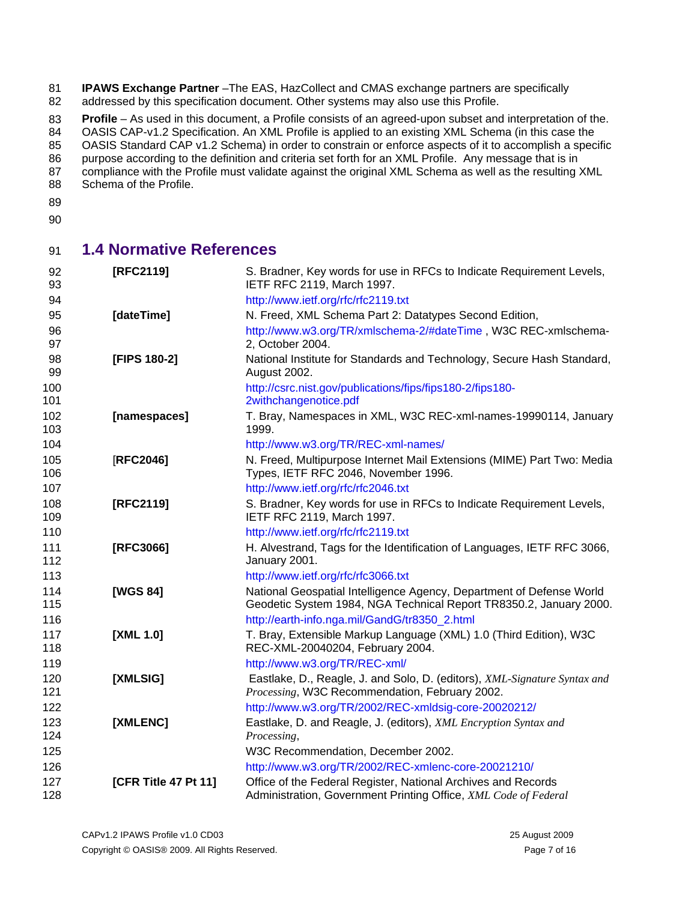<span id="page-6-0"></span>81 82 **IPAWS Exchange Partner** –The EAS, HazCollect and CMAS exchange partners are specifically addressed by this specification document. Other systems may also use this Profile.

83 **Profile** – As used in this document, a Profile consists of an agreed-upon subset and interpretation of the.

84 85 OASIS CAP-v1.2 Specification. An XML Profile is applied to an existing XML Schema (in this case the OASIS Standard CAP v1.2 Schema) in order to constrain or enforce aspects of it to accomplish a specific

86 purpose according to the definition and criteria set forth for an XML Profile. Any message that is in

87

88 compliance with the Profile must validate against the original XML Schema as well as the resulting XML Schema of the Profile.

- 89
- 90

### 91 **1.4 Normative References**

| 92<br>93   | [RFC2119]            | S. Bradner, Key words for use in RFCs to Indicate Requirement Levels,<br>IETF RFC 2119, March 1997.                                        |
|------------|----------------------|--------------------------------------------------------------------------------------------------------------------------------------------|
| 94         |                      | http://www.ietf.org/rfc/rfc2119.txt                                                                                                        |
| 95         | [dateTime]           | N. Freed, XML Schema Part 2: Datatypes Second Edition,                                                                                     |
| 96<br>97   |                      | http://www.w3.org/TR/xmlschema-2/#dateTime, W3C REC-xmlschema-<br>2, October 2004.                                                         |
| 98<br>99   | [FIPS 180-2]         | National Institute for Standards and Technology, Secure Hash Standard,<br>August 2002.                                                     |
| 100<br>101 |                      | http://csrc.nist.gov/publications/fips/fips180-2/fips180-<br>2withchangenotice.pdf                                                         |
| 102<br>103 | [namespaces]         | T. Bray, Namespaces in XML, W3C REC-xml-names-19990114, January<br>1999.                                                                   |
| 104        |                      | http://www.w3.org/TR/REC-xml-names/                                                                                                        |
| 105<br>106 | [RFC2046]            | N. Freed, Multipurpose Internet Mail Extensions (MIME) Part Two: Media<br>Types, IETF RFC 2046, November 1996.                             |
| 107        |                      | http://www.ietf.org/rfc/rfc2046.txt                                                                                                        |
| 108<br>109 | [RFC2119]            | S. Bradner, Key words for use in RFCs to Indicate Requirement Levels,<br>IETF RFC 2119, March 1997.                                        |
| 110        |                      | http://www.ietf.org/rfc/rfc2119.txt                                                                                                        |
| 111<br>112 | [RFC3066]            | H. Alvestrand, Tags for the Identification of Languages, IETF RFC 3066,<br>January 2001.                                                   |
| 113        |                      | http://www.ietf.org/rfc/rfc3066.txt                                                                                                        |
| 114<br>115 | [WGS 84]             | National Geospatial Intelligence Agency, Department of Defense World<br>Geodetic System 1984, NGA Technical Report TR8350.2, January 2000. |
| 116        |                      | http://earth-info.nga.mil/GandG/tr8350_2.html                                                                                              |
| 117<br>118 | [XML 1.0]            | T. Bray, Extensible Markup Language (XML) 1.0 (Third Edition), W3C<br>REC-XML-20040204, February 2004.                                     |
| 119        |                      | http://www.w3.org/TR/REC-xml/                                                                                                              |
| 120<br>121 | [XMLSIG]             | Eastlake, D., Reagle, J. and Solo, D. (editors), XML-Signature Syntax and<br>Processing, W3C Recommendation, February 2002.                |
| 122        |                      | http://www.w3.org/TR/2002/REC-xmldsig-core-20020212/                                                                                       |
| 123<br>124 | [XMLENC]             | Eastlake, D. and Reagle, J. (editors), XML Encryption Syntax and<br>Processing,                                                            |
| 125        |                      | W3C Recommendation, December 2002.                                                                                                         |
| 126        |                      | http://www.w3.org/TR/2002/REC-xmlenc-core-20021210/                                                                                        |
| 127<br>128 | [CFR Title 47 Pt 11] | Office of the Federal Register, National Archives and Records<br>Administration, Government Printing Office, XML Code of Federal           |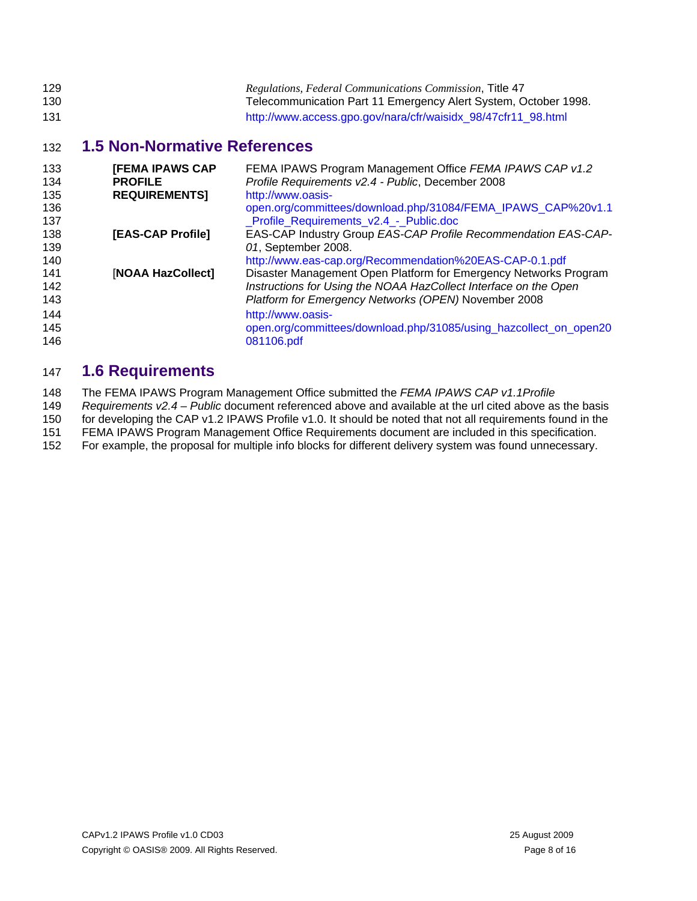<span id="page-7-0"></span>

| 129 | Regulations, Federal Communications Commission, Title 47        |
|-----|-----------------------------------------------------------------|
| 130 | Telecommunication Part 11 Emergency Alert System, October 1998. |
| 131 | http://www.access.gpo.gov/nara/cfr/waisidx_98/47cfr11_98.html   |

### 132 **1.5 Non-Normative References**

| 133<br>134<br>135 | <b>[FEMA IPAWS CAP</b><br><b>PROFILE</b><br><b>REQUIREMENTS]</b> | FEMA IPAWS Program Management Office FEMA IPAWS CAP v1.2<br>Profile Requirements v2.4 - Public, December 2008<br>http://www.oasis- |
|-------------------|------------------------------------------------------------------|------------------------------------------------------------------------------------------------------------------------------------|
| 136               |                                                                  | open.org/committees/download.php/31084/FEMA_IPAWS_CAP%20v1.1                                                                       |
| 137               |                                                                  | Profile_Requirements_v2.4_-_Public.doc                                                                                             |
| 138               | [EAS-CAP Profile]                                                | EAS-CAP Industry Group EAS-CAP Profile Recommendation EAS-CAP-                                                                     |
| 139               |                                                                  | 01, September 2008.                                                                                                                |
| 140               |                                                                  | http://www.eas-cap.org/Recommendation%20EAS-CAP-0.1.pdf                                                                            |
| 141               | [NOAA HazCollect]                                                | Disaster Management Open Platform for Emergency Networks Program                                                                   |
| 142               |                                                                  | Instructions for Using the NOAA HazCollect Interface on the Open                                                                   |
| 143               |                                                                  | Platform for Emergency Networks (OPEN) November 2008                                                                               |
| 144               |                                                                  | http://www.oasis-                                                                                                                  |
| 145               |                                                                  | open.org/committees/download.php/31085/using_hazcollect_on_open20                                                                  |
| 146               |                                                                  | 081106.pdf                                                                                                                         |

## 147 **1.6 Requirements**

148 The FEMA IPAWS Program Management Office submitted the *FEMA IPAWS CAP v1.1Profile* 

149 *Requirements v2.4 – Public* document referenced above and available at the url cited above as the basis

150 for developing the CAP v1.2 IPAWS Profile v1.0. It should be noted that not all requirements found in the

151 FEMA IPAWS Program Management Office Requirements document are included in this specification.

152 For example, the proposal for multiple info blocks for different delivery system was found unnecessary.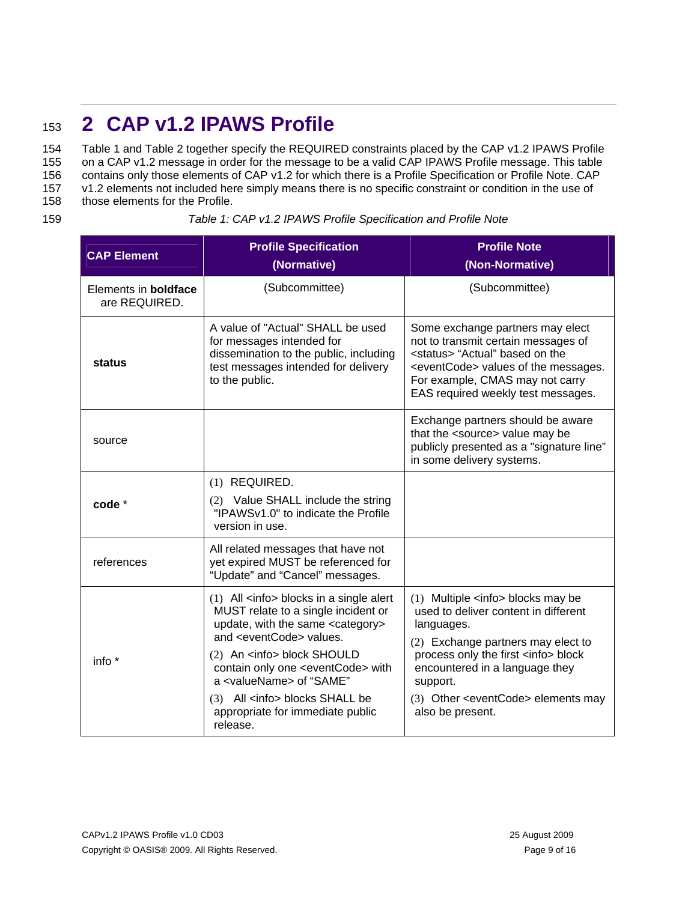# <span id="page-8-1"></span><span id="page-8-0"></span><sup>153</sup>**2 CAP v1.2 IPAWS Profile**

Table 1 and Table 2 together specify the REQUIRED constraints placed by the CAP v1.2 IPAWS Profile on a CAP v1.2 message in order for the message to be a valid CAP IPAWS Profile message. This table 154 155

contains only those elements of CAP v1.2 for which there is a Profile Specification or Profile Note. CAP v1.2 elements not included here simply means there is no specific constraint or condition in the use of 156 157

- those elements for the Profile. 158
- 

159 *Table 1: CAP v1.2 IPAWS Profile Specification and Profile Note* 

| <b>CAP Element</b>                           | <b>Profile Specification</b><br>(Normative)                                                                                                                                                                                                                                                                                                                                                                | <b>Profile Note</b><br>(Non-Normative)                                                                                                                                                                                                                                                                         |
|----------------------------------------------|------------------------------------------------------------------------------------------------------------------------------------------------------------------------------------------------------------------------------------------------------------------------------------------------------------------------------------------------------------------------------------------------------------|----------------------------------------------------------------------------------------------------------------------------------------------------------------------------------------------------------------------------------------------------------------------------------------------------------------|
| Elements in <b>boldface</b><br>are REQUIRED. | (Subcommittee)                                                                                                                                                                                                                                                                                                                                                                                             | (Subcommittee)                                                                                                                                                                                                                                                                                                 |
| status                                       | A value of "Actual" SHALL be used<br>for messages intended for<br>dissemination to the public, including<br>test messages intended for delivery<br>to the public.                                                                                                                                                                                                                                          | Some exchange partners may elect<br>not to transmit certain messages of<br><status> "Actual" based on the<br/><eventcode> values of the messages.<br/>For example, CMAS may not carry<br/>EAS required weekly test messages.</eventcode></status>                                                              |
| source                                       |                                                                                                                                                                                                                                                                                                                                                                                                            | Exchange partners should be aware<br>that the <source/> value may be<br>publicly presented as a "signature line"<br>in some delivery systems.                                                                                                                                                                  |
| code *                                       | (1) REQUIRED.<br>(2) Value SHALL include the string<br>"IPAWSv1.0" to indicate the Profile<br>version in use.                                                                                                                                                                                                                                                                                              |                                                                                                                                                                                                                                                                                                                |
| references                                   | All related messages that have not<br>yet expired MUST be referenced for<br>"Update" and "Cancel" messages.                                                                                                                                                                                                                                                                                                |                                                                                                                                                                                                                                                                                                                |
| info $*$                                     | $(1)$ All $\leq$ info > blocks in a single alert<br>MUST relate to a single incident or<br>update, with the same <category><br/>and <eventcode> values.<br/>(2) An <info> block SHOULD<br/>contain only one <eventcode> with<br/>a <valuename> of "SAME"<br/>(3) All <info> blocks SHALL be<br/>appropriate for immediate public<br/>release.</info></valuename></eventcode></info></eventcode></category> | (1) Multiple <info> blocks may be<br/>used to deliver content in different<br/>languages.<br/>(2) Exchange partners may elect to<br/>process only the first <info> block<br/>encountered in a language they<br/>support.<br/>(3) Other <eventcode> elements may<br/>also be present.</eventcode></info></info> |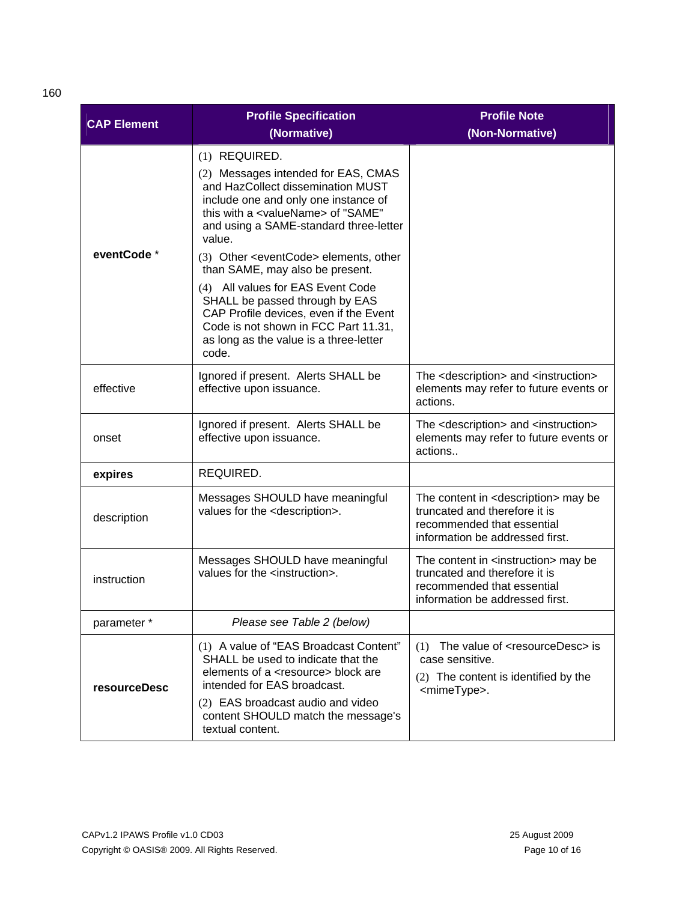| <b>CAP Element</b>                        | <b>Profile Specification</b><br>(Normative)                                                                                                                                                                             | <b>Profile Note</b><br>(Non-Normative)                                                                                                                 |  |
|-------------------------------------------|-------------------------------------------------------------------------------------------------------------------------------------------------------------------------------------------------------------------------|--------------------------------------------------------------------------------------------------------------------------------------------------------|--|
|                                           | (1) REQUIRED.                                                                                                                                                                                                           |                                                                                                                                                        |  |
|                                           | (2) Messages intended for EAS, CMAS<br>and HazCollect dissemination MUST<br>include one and only one instance of<br>this with a <valuename> of "SAME"<br/>and using a SAME-standard three-letter<br/>value.</valuename> |                                                                                                                                                        |  |
| eventCode *                               | (3) Other <eventcode> elements, other<br/>than SAME, may also be present.</eventcode>                                                                                                                                   |                                                                                                                                                        |  |
|                                           | (4) All values for EAS Event Code<br>SHALL be passed through by EAS<br>CAP Profile devices, even if the Event<br>Code is not shown in FCC Part 11.31,<br>as long as the value is a three-letter<br>code.                |                                                                                                                                                        |  |
| effective                                 | Ignored if present. Alerts SHALL be<br>effective upon issuance.                                                                                                                                                         | The <description> and <instruction><br/>elements may refer to future events or<br/>actions.</instruction></description>                                |  |
| onset                                     | Ignored if present. Alerts SHALL be<br>effective upon issuance.                                                                                                                                                         | The <description> and <instruction><br/>elements may refer to future events or<br/>actions</instruction></description>                                 |  |
| expires                                   | REQUIRED.                                                                                                                                                                                                               |                                                                                                                                                        |  |
| description                               | Messages SHOULD have meaningful<br>values for the <description>.</description>                                                                                                                                          | The content in <description> may be<br/>truncated and therefore it is<br/>recommended that essential<br/>information be addressed first.</description> |  |
| instruction                               | Messages SHOULD have meaningful<br>values for the <instruction>.</instruction>                                                                                                                                          | The content in <instruction> may be<br/>truncated and therefore it is<br/>recommended that essential<br/>information be addressed first.</instruction> |  |
| Please see Table 2 (below)<br>parameter * |                                                                                                                                                                                                                         |                                                                                                                                                        |  |
| resourceDesc                              | (1) A value of "EAS Broadcast Content"<br>SHALL be used to indicate that the<br>elements of a <resource> block are<br/>intended for EAS broadcast.<br/>(2) EAS broadcast audio and video</resource>                     | The value of <resourcedesc> is<br/>(1)<br/>case sensitive.<br/>(2) The content is identified by the<br/><mimetype>.</mimetype></resourcedesc>          |  |
|                                           | content SHOULD match the message's<br>textual content.                                                                                                                                                                  |                                                                                                                                                        |  |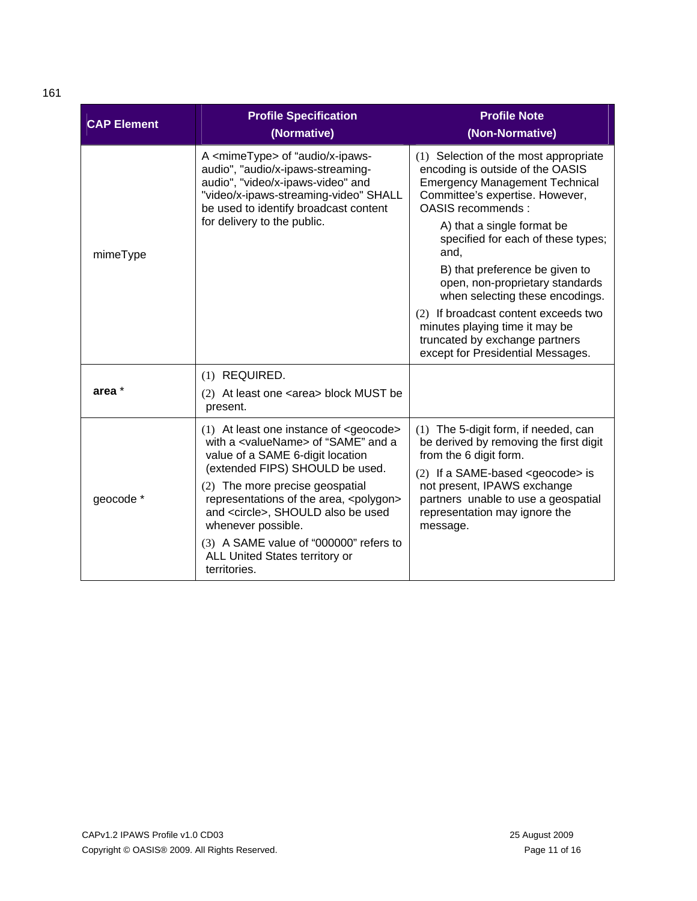| <b>CAP Element</b> | <b>Profile Specification</b><br>(Normative)                                                                                                                                                                | <b>Profile Note</b><br>(Non-Normative)                                                                                                                                     |  |
|--------------------|------------------------------------------------------------------------------------------------------------------------------------------------------------------------------------------------------------|----------------------------------------------------------------------------------------------------------------------------------------------------------------------------|--|
|                    | A <mimetype> of "audio/x-ipaws-<br/>audio", "audio/x-ipaws-streaming-<br/>audio", "video/x-ipaws-video" and<br/>"video/x-ipaws-streaming-video" SHALL<br/>be used to identify broadcast content</mimetype> | (1) Selection of the most appropriate<br>encoding is outside of the OASIS<br><b>Emergency Management Technical</b><br>Committee's expertise. However,<br>OASIS recommends: |  |
| mimeType           | for delivery to the public.                                                                                                                                                                                | A) that a single format be<br>specified for each of these types;<br>and.                                                                                                   |  |
|                    |                                                                                                                                                                                                            | B) that preference be given to<br>open, non-proprietary standards<br>when selecting these encodings.                                                                       |  |
|                    |                                                                                                                                                                                                            | (2) If broadcast content exceeds two<br>minutes playing time it may be<br>truncated by exchange partners<br>except for Presidential Messages.                              |  |
|                    | (1) REQUIRED.                                                                                                                                                                                              |                                                                                                                                                                            |  |
| area *             | (2) At least one <area/> block MUST be<br>present.                                                                                                                                                         |                                                                                                                                                                            |  |
|                    | $(1)$ At least one instance of <geocode><br/>with a <valuename> of "SAME" and a<br/>value of a SAME 6-digit location<br/>(extended FIPS) SHOULD be used.</valuename></geocode>                             | (1) The 5-digit form, if needed, can<br>be derived by removing the first digit<br>from the 6 digit form.<br>$(2)$ If a SAME-based <geocode> is</geocode>                   |  |
| geocode *          | (2) The more precise geospatial<br>representations of the area, <polygon><br/>and <circle>, SHOULD also be used<br/>whenever possible.</circle></polygon>                                                  | not present, IPAWS exchange<br>partners unable to use a geospatial<br>representation may ignore the<br>message.                                                            |  |
|                    | (3) A SAME value of "000000" refers to<br>ALL United States territory or<br>territories.                                                                                                                   |                                                                                                                                                                            |  |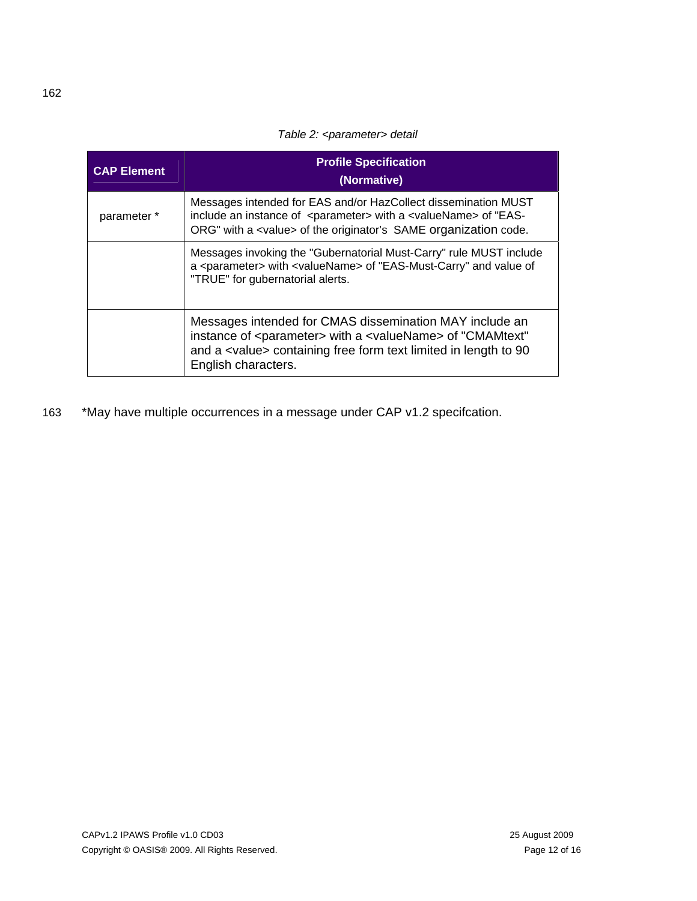### *Table 2: <parameter> detail*

<span id="page-11-0"></span>

| <b>CAP Element</b> | <b>Profile Specification</b><br>(Normative)                                                                                                                                                                                                     |  |
|--------------------|-------------------------------------------------------------------------------------------------------------------------------------------------------------------------------------------------------------------------------------------------|--|
| parameter *        | Messages intended for EAS and/or HazCollect dissemination MUST<br>include an instance of <parameter> with a <valuename> of "EAS-<br/>ORG" with a <value> of the originator's SAME organization code.</value></valuename></parameter>            |  |
|                    | Messages invoking the "Gubernatorial Must-Carry" rule MUST include<br>a <parameter> with <valuename> of "EAS-Must-Carry" and value of<br/>"TRUE" for gubernatorial alerts.</valuename></parameter>                                              |  |
|                    | Messages intended for CMAS dissemination MAY include an<br>instance of <parameter> with a <valuename> of "CMAMtext"<br/>and a <value> containing free form text limited in length to 90<br/>English characters.</value></valuename></parameter> |  |

163 \*May have multiple occurrences in a message under CAP v1.2 specifcation.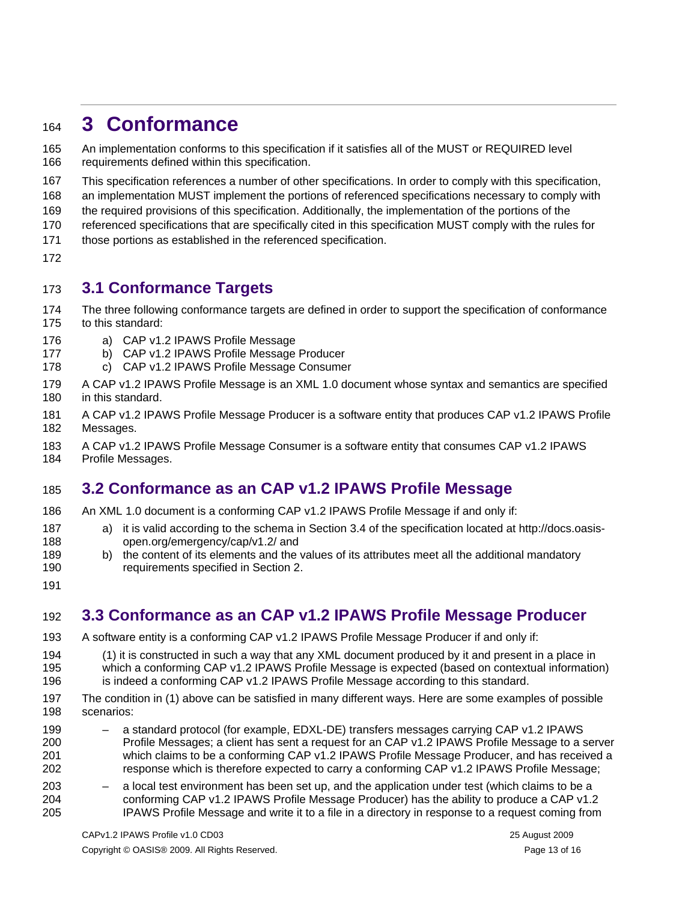# <span id="page-12-0"></span><sup>164</sup>**3 Conformance**

An implementation conforms to this specification if it satisfies all of the MUST or REQUIRED level requirements defined within this specification. 165 166

167 This specification references a number of other specifications. In order to comply with this specification,

168 an implementation MUST implement the portions of referenced specifications necessary to comply with

169 the required provisions of this specification. Additionally, the implementation of the portions of the

170 referenced specifications that are specifically cited in this specification MUST comply with the rules for

- 171 those portions as established in the referenced specification.
- 172

### 173 **3.1 Conformance Targets**

- 174 175 The three following conformance targets are defined in order to support the specification of conformance to this standard:
- 176 a) CAP v1.2 IPAWS Profile Message
- 177 b) CAP v1.2 IPAWS Profile Message Producer
- 178 c) CAP v1.2 IPAWS Profile Message Consumer
- 179 180 A CAP v1.2 IPAWS Profile Message is an XML 1.0 document whose syntax and semantics are specified in this standard.
- 181 182 A CAP v1.2 IPAWS Profile Message Producer is a software entity that produces CAP v1.2 IPAWS Profile Messages.
- 183 A CAP v1.2 IPAWS Profile Message Consumer is a software entity that consumes CAP v1.2 IPAWS
- 184 Profile Messages.

### <span id="page-12-1"></span>185 **3.2 Conformance as an CAP v1.2 IPAWS Profile Message**

- 186 An XML 1.0 document is a conforming CAP v1.2 IPAWS Profile Message if and only if:
- 187 188 a) it is valid according to the schema in Section 3.4 of the specification located at http://docs.oasisopen.org/emergency/cap/v1.2/ and
- 189 190 b) the content of its elements and the values of its attributes meet all the additional mandatory requirements specified in Section [2.](#page-8-1)
- 191

# 192 **3.3 Conformance as an CAP v1.2 IPAWS Profile Message Producer**

- 193 A software entity is a conforming CAP v1.2 IPAWS Profile Message Producer if and only if:
- 194 (1) it is constructed in such a way that any XML document produced by it and present in a place in

195 which a conforming CAP v1.2 IPAWS Profile Message is expected (based on contextual information)

- 196 is indeed a conforming CAP v1.2 IPAWS Profile Message according to this standard.
- 197 198 The condition in (1) above can be satisfied in many different ways. Here are some examples of possible scenarios:
- 199 200 201 202 – a standard protocol (for example, EDXL-DE) transfers messages carrying CAP v1.2 IPAWS Profile Messages; a client has sent a request for an CAP v1.2 IPAWS Profile Message to a server which claims to be a conforming CAP v1.2 IPAWS Profile Message Producer, and has received a response which is therefore expected to carry a conforming CAP v1.2 IPAWS Profile Message;
- 203 204 205 – a local test environment has been set up, and the application under test (which claims to be a conforming CAP v1.2 IPAWS Profile Message Producer) has the ability to produce a CAP v1.2 IPAWS Profile Message and write it to a file in a directory in response to a request coming from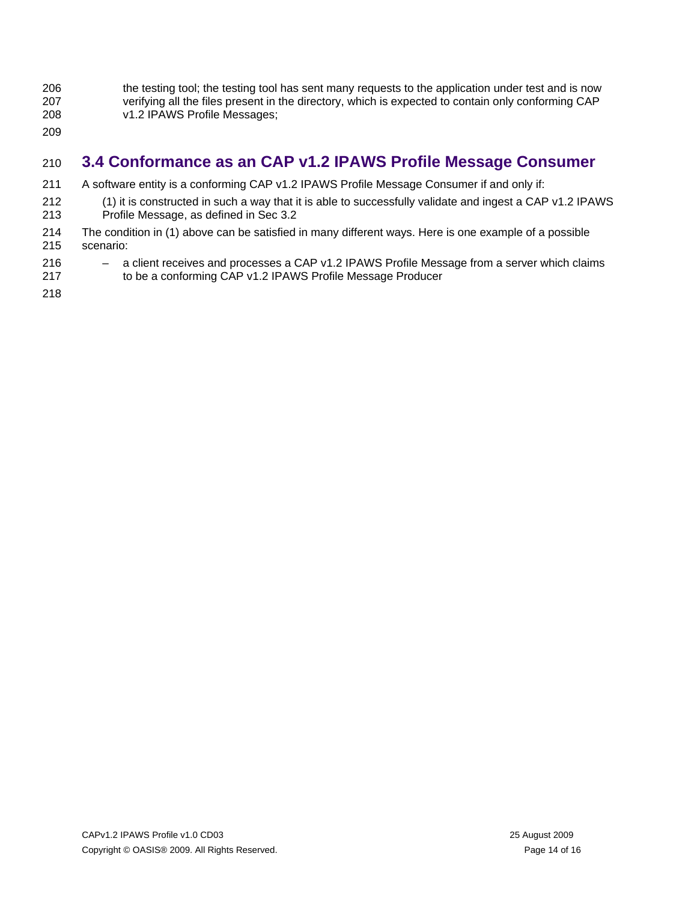- <span id="page-13-0"></span>206 207 208 the testing tool; the testing tool has sent many requests to the application under test and is now verifying all the files present in the directory, which is expected to contain only conforming CAP v1.2 IPAWS Profile Messages;
- 209

# 210 **3.4 Conformance as an CAP v1.2 IPAWS Profile Message Consumer**

- 211 A software entity is a conforming CAP v1.2 IPAWS Profile Message Consumer if and only if:
- 212 213 (1) it is constructed in such a way that it is able to successfully validate and ingest a CAP v1.2 IPAWS Profile Message, as defined in Sec [3.2](#page-12-1)
- 214 215 The condition in (1) above can be satisfied in many different ways. Here is one example of a possible scenario:
- 216 217 – a client receives and processes a CAP v1.2 IPAWS Profile Message from a server which claims to be a conforming CAP v1.2 IPAWS Profile Message Producer
- 218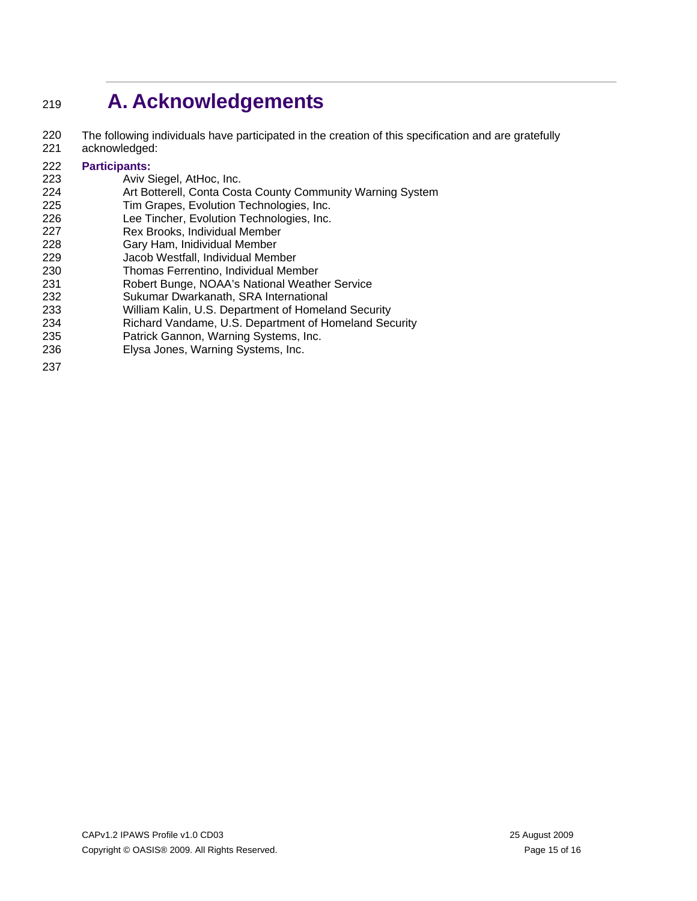# <span id="page-14-0"></span><sup>219</sup>**A. Acknowledgements**

220 221 The following individuals have participated in the creation of this specification and are gratefully acknowledged:

#### 222 **Participants:**

- 223 Aviv Siegel, AtHoc, Inc.
- 224 Art Botterell, Conta Costa County Community Warning System
- 225 Tim Grapes, Evolution Technologies, Inc.
- 226 Lee Tincher, Evolution Technologies, Inc.
- 227 Rex Brooks, Individual Member
- 228 Gary Ham, Inidividual Member
- 229 Jacob Westfall, Individual Member
- 230 Thomas Ferrentino, Individual Member
- 231 Robert Bunge, NOAA's National Weather Service
- 232 Sukumar Dwarkanath, SRA International
- 233 William Kalin, U.S. Department of Homeland Security
- 234 Richard Vandame, U.S. Department of Homeland Security
- 235 Patrick Gannon, Warning Systems, Inc.
- 236 Elysa Jones, Warning Systems, Inc.